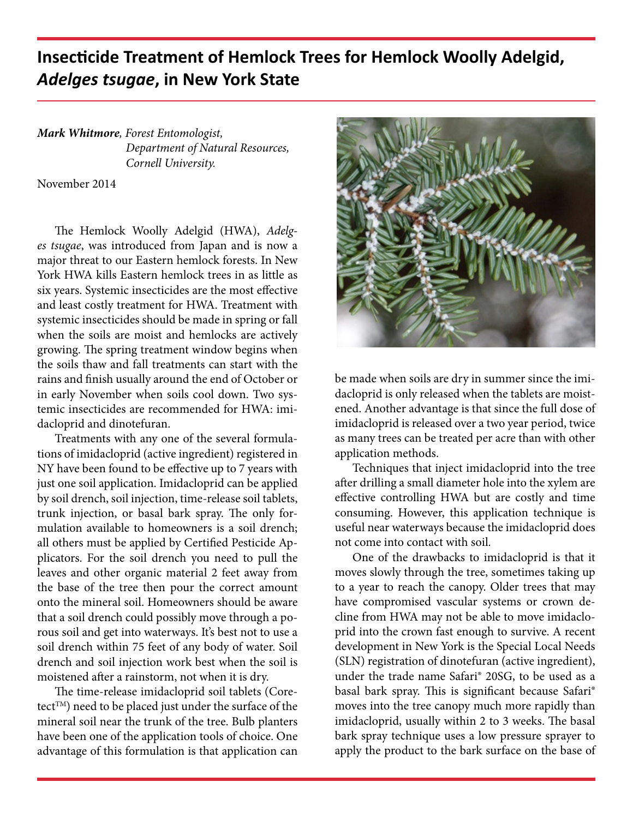## **Insecticide Treatment of Hemlock Trees for Hemlock Woolly Adelgid,**  *Adelges tsugae***, in New York State**

*Mark Whitmore, Forest Entomologist, Department of Natural Resources, Cornell University.*

November 2014

The Hemlock Woolly Adelgid (HWA), *Adelges tsugae*, was introduced from Japan and is now a major threat to our Eastern hemlock forests. In New York HWA kills Eastern hemlock trees in as little as six years. Systemic insecticides are the most effective and least costly treatment for HWA. Treatment with systemic insecticides should be made in spring or fall when the soils are moist and hemlocks are actively growing. The spring treatment window begins when the soils thaw and fall treatments can start with the rains and finish usually around the end of October or in early November when soils cool down. Two systemic insecticides are recommended for HWA: imidacloprid and dinotefuran.

Treatments with any one of the several formulations of imidacloprid (active ingredient) registered in NY have been found to be effective up to 7 years with just one soil application. Imidacloprid can be applied by soil drench, soil injection, time-release soil tablets, trunk injection, or basal bark spray. The only formulation available to homeowners is a soil drench; all others must be applied by Certified Pesticide Applicators. For the soil drench you need to pull the leaves and other organic material 2 feet away from the base of the tree then pour the correct amount onto the mineral soil. Homeowners should be aware that a soil drench could possibly move through a porous soil and get into waterways. It's best not to use a soil drench within 75 feet of any body of water. Soil drench and soil injection work best when the soil is moistened after a rainstorm, not when it is dry.

The time-release imidacloprid soil tablets (Coretect™) need to be placed just under the surface of the mineral soil near the trunk of the tree. Bulb planters have been one of the application tools of choice. One advantage of this formulation is that application can



be made when soils are dry in summer since the imidacloprid is only released when the tablets are moistened. Another advantage is that since the full dose of imidacloprid is released over a two year period, twice as many trees can be treated per acre than with other application methods.

Techniques that inject imidacloprid into the tree after drilling a small diameter hole into the xylem are effective controlling HWA but are costly and time consuming. However, this application technique is useful near waterways because the imidacloprid does not come into contact with soil.

One of the drawbacks to imidacloprid is that it moves slowly through the tree, sometimes taking up to a year to reach the canopy. Older trees that may have compromised vascular systems or crown decline from HWA may not be able to move imidacloprid into the crown fast enough to survive. A recent development in New York is the Special Local Needs (SLN) registration of dinotefuran (active ingredient), under the trade name Safari® 20SG, to be used as a basal bark spray. This is significant because Safari® moves into the tree canopy much more rapidly than imidacloprid, usually within 2 to 3 weeks. The basal bark spray technique uses a low pressure sprayer to apply the product to the bark surface on the base of